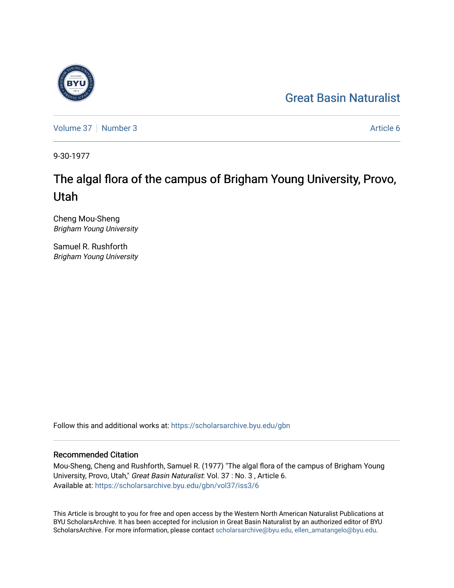## [Great Basin Naturalist](https://scholarsarchive.byu.edu/gbn)



[Volume 37](https://scholarsarchive.byu.edu/gbn/vol37) | [Number 3](https://scholarsarchive.byu.edu/gbn/vol37/iss3) Article 6

9-30-1977

# The algal flora of the campus of Brigham Young University, Provo, Utah

Cheng Mou-Sheng Brigham Young University

Samuel R. Rushforth Brigham Young University

Follow this and additional works at: [https://scholarsarchive.byu.edu/gbn](https://scholarsarchive.byu.edu/gbn?utm_source=scholarsarchive.byu.edu%2Fgbn%2Fvol37%2Fiss3%2F6&utm_medium=PDF&utm_campaign=PDFCoverPages) 

### Recommended Citation

Mou-Sheng, Cheng and Rushforth, Samuel R. (1977) "The algal flora of the campus of Brigham Young University, Provo, Utah," Great Basin Naturalist: Vol. 37 : No. 3, Article 6. Available at: [https://scholarsarchive.byu.edu/gbn/vol37/iss3/6](https://scholarsarchive.byu.edu/gbn/vol37/iss3/6?utm_source=scholarsarchive.byu.edu%2Fgbn%2Fvol37%2Fiss3%2F6&utm_medium=PDF&utm_campaign=PDFCoverPages)

This Article is brought to you for free and open access by the Western North American Naturalist Publications at BYU ScholarsArchive. It has been accepted for inclusion in Great Basin Naturalist by an authorized editor of BYU ScholarsArchive. For more information, please contact [scholarsarchive@byu.edu, ellen\\_amatangelo@byu.edu.](mailto:scholarsarchive@byu.edu,%20ellen_amatangelo@byu.edu)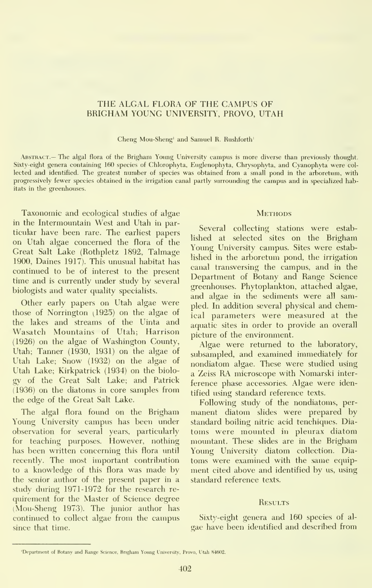#### THE ALGAL FLORA OF THE CAMPUS OF BRIGHAM YOUNG UNIVERSITY, PROVO, UTAH

Cheng Mou-Sheng' and Samuel R. Rushforth'

Abstract.— The algal flora of the Brigham Young University campus is more diverse than previously thought. Sixty-eight genera containing 160 species of Chlorophyta, Euglenophyta, Chrysophyta, and Cyanophyta were col lected and identified. The greatest number of species was obtained from a small pond in the arboretum, with progressively fewer species obtained in the irrigation canal partly surrounding the campus and in specialized habitats in the greenhouses.

Taxonomic and ecological studies of algae in the Intermountain West and Utah in particular have been rare. The earliest papers on Utah algae concerned the flora of the Great Salt Lake (Rothpletz 1892, Talmage 1900, Daines 1917). This unusual habitat has continued to be of interest to the present time and is currently under study by several biologists and water quality specialists.

Other early papers on Utah algae were those of Norrington (^1925) on the algae of the lakes and streams of the Uinta and Wasatch Mountains of Utah; Harrison (1926) on the algae of Washington County, Utah; Tanner (1930, 1931) on the algae of Utah Lake; Snow (1932) on the algae of Utah Lake; Kirkpatrick (1934) on the biolo gy of the Great Salt Lake; and Patrick (1936) on the diatoms in core samples from the edge of the Great Salt Lake.

The algal flora found on the Brigham Young University campus has been under observation for several years, particularly for teaching purposes. However, nothing has been written concerning this flora until recently. The most important contribution to a knowledge of this flora was made by the senior author of the present paper in a study during 1971-1972 for the research re quirement for the Master of Science degree (Mou-Sheng 1973). The junior author has continued to collect algae from the campus since that time.

#### **METHODS**

Several collecting stations were established at selected sites on the Brigham Young University campus. Sites were established in the arboretum pond, the irrigation canal transversing the campus, and in the Department of Botany and Range Science greenhouses. Phytoplankton, attached algae, and algae in the sediments were all sampled. In addition several physical and chemical parameters were measured at the aquatic sites in order to provide an overall picture of the environment.

Algae were returned to the laboratory, subsampled, and examined immediately for nondiatom algae. These were studied using <sup>a</sup> Zeiss RA microscope with Nomarski inter ference phase accessories. Algae were identified using standard reference texts.

Following study of the nondiatoms, per manent diatom slides were prepared by standard boiling nitric acid tenchiques. Dia toms were mounted in pleurax diatom mountant. These slides are in the Brigham Young University diatom collection. Dia toms were examined with the same equip ment cited above and identified by us, using standard reference texts.

#### **RESULTS**

Sixty-eight genera and 160 species of al gae have been identified and described from

<sup>&#</sup>x27;Department of Botany and Range Science, Brigham Young University, Provo, Utah 84602.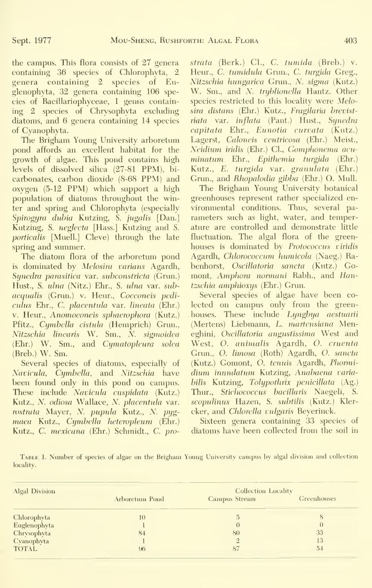the campus. This flora consists of 27 genera containing 36 species of Chlorophyta, 2 genera containing 2 species of Euglenophyta, 32 genera containing 106 species of Bacillariophyceae, <sup>1</sup> genus containing 2 species of Chrysophyta excluding diatoms, and 6 genera containing 14 species of Cyanophyta.

The Brigham Young University arboretum pond affords an excellent habitat for the growth of algae. This pond contains high levels of dissolved silica (27-81 PPM), bi carbonates, carbon dioxide (8-68 PPM) and oxygen (5-12 PPM) which support a high population of diatoms throughout the winter and spring and Chlorophyta (especially Spirogyra dubia Kutzing, S. jugalis [Dan.] Kutzing, S. neglecta [Hass.] Kutzing and S.porticalis [Muell.] Cleve) through the late spring and summer.

The diatom flora of the arboretum pond is dominated by Melosira varians Agardh, Synedra parasitica var. subconstricta (Grun.) Hust., S. ulna (Nitz.) Ehr., S. ulna var. subaequalis (Grun.) v. Heur., Cocconeis pedi culus Ehr., C. placentula var. lineata (Ehr.) V. Heur., Anomoeoneis spliaerophora (Kutz.) Pfitz., Cymbella cistula (Hemprich) Grun., Nitzschia linearis W. Sm., N. sigmoidea (Ehr.) W. Sm., and Cymatopleura solea (Breb.) W. Sm.

Several species of diatoms, especially of Navicula, Cymbella, and Nitzschia have been found only in this pond on campus. These include Navicula cuspidata (Kutz.) Kutz., N. odiosa Wallace, N. placentula var. rostrata Mayer, N. pupula Kutz., N. pyg maea Kutz., Cymbella heteropleura (Ehr.) Kutz., C. mexicana (Ehr.) Schmidt., C. prostrata (Berk.) CI., C. tumida (Breb.) v. Heur., C. twnidula Grim., C. turgida Greg., Nitzschia hungarica Grun., N. sigma (Kutz.) W. Sm., and N. tryblionella Hantz. Other species restricted to this locality were Melosira distans (Ehr.) Kutz., Fragilaria brevistriata var. inflata (Pant.) Hust., Synedra capitata Ehr., Eunotia curvata (Kutz.) Lagerst, Caloneis ventricosa (Ehr.) Meist., Neidium iridis (Ehr.) Cl., Gomphonema acuminatum Ehr., Epithemia turgida (Ehr.) Kutz., E. turgida var. granulata (Ehr.) Grun., and Rhopalodia gibba (Ehr.) O. Mull.

The Brigham Young University botanical greenhouses represent rather specialized en vironmental conditions. Thus, several pa rameters such as light, water, and temperature are controlled and demonstrate little fluctuation. The algal flora of the green houses is dominated by Protococcus viridis Agardh, Chlorococcum humicola (Naeg.) Rabenhorst, Oscillatoria sancta (Kutz.) Gomont. Amphora normani Rabh., and Hantzschia amphioxys (Ehr.) Grun.

Several species of algae have been co lected on campus only from the greenhouses. These include Lyngbya aestuarii (Mertens) Liebmann, L. martensiana Meneghini, Oscillatoria angustissima West and West, O. animalis Agardh, O. cruenta Grim., O. limosa (Roth) Agardh, O. sancta (Kutz.) Gomont, O. tenuis Agardh, Phormidium inundatum Kutzing, Anabaena variabilis Kutzing, Tolypothrix penicillata (Ag.) Thur., Stichococcus bacillaris Naegeli, S. scopulinus Hazen, S. subtilis (Kutz.) Klercker, and Chlorella vulgaris Beyerinck.

Sixteen genera containing 33 species of diatoms have been collected from the soil in

Table 1. Number of species of algae on the Brigham Young University campus by algal division and collection locality.

| Algal Division | <b>Collection Locality</b> |                |             |
|----------------|----------------------------|----------------|-------------|
|                | Arboretum Pond             | Campus Stream  | Greenhouses |
| Chlorophyta    | 10                         | 5              |             |
| Euglenophyta   |                            | $\theta$       |             |
| Chrysophyta    | 84                         | 80             | 33          |
| Cyanophyta     |                            | $\overline{2}$ | 13          |
| <b>TOTAL</b>   | 96                         | 87             | 54          |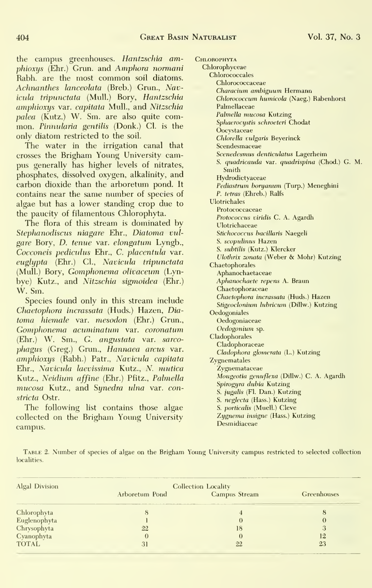the campus greenhouses. Hantzschia amphioxys (Ehr.) Grun. and Amphora normani Rabh. are the most common soil diatoms. Achnanthes lanceolata (Breb.) Grun., Navicula tripunctata (Mull.) Bory, Hantzschia amphioxys var. capitata Mull., and Nitzschia palea (Kutz.) W. Sm. are also quite common. Pinnularia gentilis (Donk.) CI. is the only diatom restricted to the soil.

The water in the irrigation canal that crosses the Brigham Young University campus generally has higher levels of nitrates, phosphates, dissolved oxygen, alkalinity, and carbon dioxide than the arboretum pond. It contains near the same number of species of algae but has a lower standing crop due to the paucity of filamentous Chlorophyta.

The flora of this stream is dominated by Stephanodiscus niagare Ehr., Diatoma vulgare Bory, D. tenue var. elongatum Lyngb., Cocconeis pediculus Ehr., C. placentula var. euglypta (Ehr.) Cl., Navicula tripunctata (Mull.) Bory, Gomphonema olivaceum (Lynbye) Kutz., and Nitzschia sigmoidea (Ehr.) W. Sm.

Species found only in this stream include Chaetophora incrassata (Huds.) Hazen, Diatoma hiemale var. mesodon (Ehr.) Grun., Gomphonema acuminatum var. coronatum (Ehr.) W. Sm., G. angustata var. sarco phagus (Greg.) Grun., Hannaea arcus var. amphioxys (Rabh.) Patr., Navicula capitata Ehr., Navicula laevissima Kutz., N. mutica Kutz., Neidium affine (Ehr.) Pfitz., Palmella mucosa Kutz., and Synedra ulna var. constricta Ostr.

The following list contains those algae collected on the Brigham Young University campus.

Chlorophyta Chlorophyceae Chlorococcales Chlorococcaceae Characium ambiguum Hermann Chlorococcum humicola (Naeg.) Rabenhorst Palmellaceae Palmella mucosa Kutzing Sphaerocystis schroeteri Chodat Oocystaceae Chlorella vulgaris Beyerinck Scendesmaceae Scenedesmus denticulatus Lagerheim S. quadricauda var. quadrispina (Chod.) G. M. Smith Hydrodictyaceae Pediastrum boryanum (Turp.) Meneghini P. tetras (Ehreb.) Ralfs Ulotrichales Protococcaceae Protococcus viridis C. A. Agardh Ulotrichaceae Stichococcus bacillaris Naegeli S. scopulinus Hazen S. subtilis (Kutz.) Klercker Ulothrix zonata (Weber & Mohr) Kutzing Chaetophorales Aphanochaetaceae Aphanochaete repens A. Braun Chaetophoraceae Chaetophora incrassata (Huds.) Hazen Stigeoclonium lubricum (Dillw.) Kutzing Oedogoniales Oedogoniaceae Oedogonium sp. Cladophorales Cladophoraceae Cladophora glomerata (L.) Kutzing Zygnematales Zygnemataceae Mougeotia genuflexa (Dillw.) C. A. Agardh Spirogyra dubia Kutzing S. jugalis (Fl. Dan.) Kutzing S. neglecta (Hass.) Kutzing S. porticalis (Muell.) Cleve Zygnema insigne (Hass.) Kutzing

TABLE 2. Number of species of algae on the Brigham Young University campus restricted to selected collection localities.

Desmidiaceae

| <b>Algal Division</b> | <b>Collection Locality</b> |               |                    |
|-----------------------|----------------------------|---------------|--------------------|
|                       | Arboretum Pond             | Campus Stream | <b>Greenhouses</b> |
| Chlorophyta           |                            |               |                    |
| Euglenophyta          |                            | U             |                    |
| Chrysophyta           | 22                         | 18            |                    |
| Cyanophyta            |                            |               | 12                 |
| <b>TOTAL</b>          |                            | 22            | 23                 |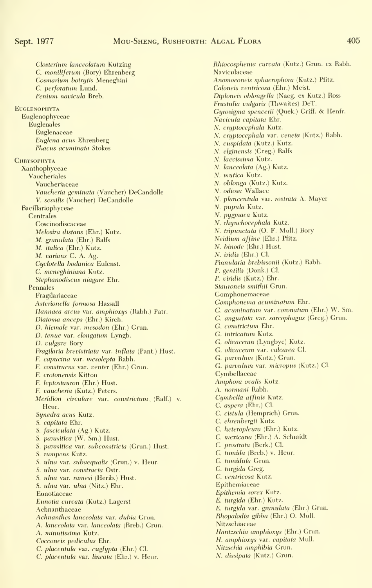Closterium lanceolatum Kutzing C. moniliferum (Bory) Ehrenberg Cosmarium botrytis Meneghini C. perforatum Lund. Penium navicula Breb. **EUGLENOPHYTA** Euglenophyceae Euglenales Euglenaceae Euglena acus Ehrenberg Phacus acuminata Stokes **CHRYSOPHYTA** Xanthophyceae Vaucheriales Vaucheriaceae Vaucheria geminata (Vaucher) DeCandolle V. sessilis (Vaucher) DeCandolle Bacillariophyceae Centrales Coscinodiscaceae Melosira distans (Ehr.) Kutz. M. granulata (Ehr.) Ralfs M. italica (Ehr.) Kutz. M. varians C. A. Ag. Cyclotella bodanica Eulenst. C. meneghiniana Kutz. Stephanodiscus niagare Ehr. Pennales Fragilariaceae Asterionella formosa Hassall Hannaea arcus var. amphioxys (Rabh.) Patr. Diatoma anceps (Ehr.) Kirch. D. hiemale var. mesodon (Ehr.) Grun. D. tenue var. elongatum Lyngb. D. vulgare Bory Fragilaria brevistriata var. inflata (Pant.) Hust. F. capucina var. mesolepta Rabh. F. construens var. venter (Ehr.) Grun. F. crotonensis Kitton F. leptostauron (Ehr.) Hust. F. vaucheria (Kutz.) Peters. Meridion circulare var. constrictum. (Ralf.) v. Heur. Synedra acus Kutz. S. capitata Ehr. S. fasciculata (Ag.) Kutz. S. parasitica (W. Sm.) Hust. S. parasitica var. subconstricta (Grun.) Hust. S. rumpens Kutz. S. ulna var. subaequalis (Grun.) v. Heur. S. ulna var. constracta Ostr. S. ulna var. ramesi (Herib.) Hust. S. ulna var. ulna (Nitz.) Ehr. Eunotiaceae Eunotia curvata (Kutz.) Lagerst Achnanthaceae Achnanthes lanceolata var. dubia Grun. A. lanceolata var. lanceolata (Breb.) Grun. A. minutissima Kutz. Cocconeis pediculus Ehr. C. placentula var. euglypta (Ehr.) CI. C. placentula var. lineata (Ehr.) v. Heur.

Rhiocosphenia curvata (Kutz.) Grun. ex Rabh. Naviculaceae Anomoeoneis sphaerophora (Kutz.) Pfitz. Caloneis ventricosa (Ehr.) Meist. Diploneis oblongella (Naeg. ex Kutz.) Ross Frustulia vulgaris (Thwaites) DeT. Gyrosigma spencerii (Quek.) Griff. & Henfr. Navicula capitata Ehr. N. cryptoccphala Kutz. N. cryptoccphala var. veneta (Kutz.) Rabh. N. cuspidata (Kutz.) Kutz. N. elginensis (Greg.) Ralfs N. laevissima Kutz. N. lanceolata (Ag.) Kutz. N. mutica Kutz. N. oblonga (Kutz.) Kutz. N. odiosa Wallace N. plancentula var. rostrata A. Mayer N. pupula Kutz. N. pygmaea Kutz. N. rhynchocephala Kutz. N. tripunctata (O. F. Mull.) Bory Neidimn affine (Ehr.) Pfitz. N. binode (Ehr.) Hust. N. iridis (Ehr.) CI. Pinnularia brebissonii (Kutz.) Rabh. P. gentilis (Donk.) CI. P. viridis (Kutz.) Ehr. Stauroneis smithii Grun. Gomphonemaceae Gomphonerna acuminatum Ehr. G. acuminatum var. coronatum (Ehr.) W. Sm G. angustata var. sarcophagus (Greg.) Grun. G. constrictum Ehr. G. intricatwn Kutz. G. olivaceum (Lyngbye) Kutz. G. olivaceum var. calcarea CI. G. parvulum (Kutz.) Grun. G. parvulum var. micropus (Kutz.) CI. Cymbellaceae Amphora ovalis Kutz. A. normani Rabh. Cymbella affinis Kutz. C. aspera (Ehr.) Cl. C. cistula (Hemprich) Grun. C. ehrenbergii Kutz. C. heteropleura (Ehr.) Kutz. C. mexicana (Ehr.) A. Schmidt C. prostrata (Berk.) Cl. C. tumida (Breb.) v. Heur. C. tumidula Grun. C. turgida Greg. C. ventricosa Kutz. Epithemiaceae Epithemia sorex Kutz. £. turgida (Ehr.) Kutz. £. turgida var. granulata (Ehr.) Gnm. Rhopalodia gibba (Ehr.) O. Mull. Nitzschiaceae Hantzschia amphioxys (Ehr.) Grun. H. amphioxys var. capitata Mull. Nitzschia amphibia Grun. iV. dissipata (Kutz.) Gnm.